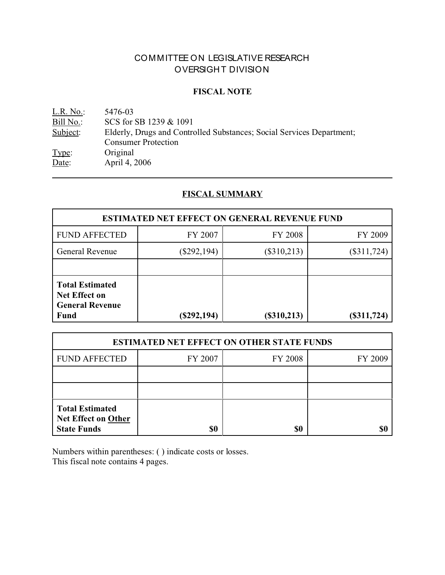# COMMITTEE ON LEGISLATIVE RESEARCH OVERSIGHT DIVISION

### **FISCAL NOTE**

<u>L.R. No.</u>: 5476-03<br>Bill No.: SCS for : Bill No.: SCS for SB 1239 & 1091<br>Subject: Elderly, Drugs and Contro Elderly, Drugs and Controlled Substances; Social Services Department; Consumer Protection Type: Original Date: **April 4, 2006** 

# **FISCAL SUMMARY**

| <b>ESTIMATED NET EFFECT ON GENERAL REVENUE FUND</b>                                     |               |                                |               |  |
|-----------------------------------------------------------------------------------------|---------------|--------------------------------|---------------|--|
| <b>FUND AFFECTED</b>                                                                    | FY 2007       | <b>FY 2008</b>                 | FY 2009       |  |
| General Revenue                                                                         | $(\$292,194)$ | $(\$310,213)$<br>$(\$311,724)$ |               |  |
|                                                                                         |               |                                |               |  |
| <b>Total Estimated</b><br><b>Net Effect on</b><br><b>General Revenue</b><br><b>Fund</b> | $(\$292,194)$ | (\$310,213)                    | $(\$311,724)$ |  |

| <b>ESTIMATED NET EFFECT ON OTHER STATE FUNDS</b>                           |         |         |         |  |
|----------------------------------------------------------------------------|---------|---------|---------|--|
| <b>FUND AFFECTED</b>                                                       | FY 2007 | FY 2008 | FY 2009 |  |
|                                                                            |         |         |         |  |
|                                                                            |         |         |         |  |
| <b>Total Estimated</b><br><b>Net Effect on Other</b><br><b>State Funds</b> | \$0     | \$0     |         |  |

Numbers within parentheses: ( ) indicate costs or losses. This fiscal note contains 4 pages.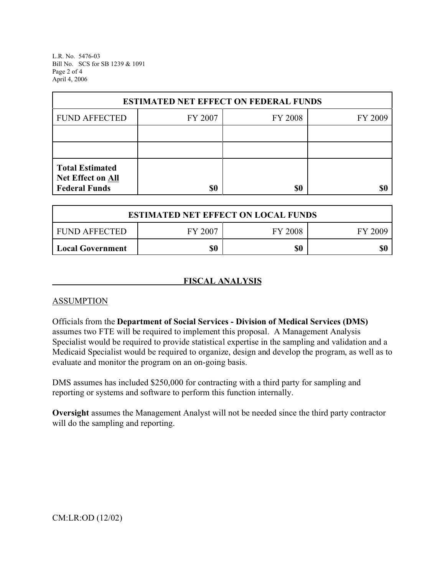L.R. No. 5476-03 Bill No. SCS for SB 1239 & 1091 Page 2 of 4 April 4, 2006

| <b>ESTIMATED NET EFFECT ON FEDERAL FUNDS</b>                        |         |                |         |  |
|---------------------------------------------------------------------|---------|----------------|---------|--|
| <b>FUND AFFECTED</b>                                                | FY 2007 | <b>FY 2008</b> | FY 2009 |  |
|                                                                     |         |                |         |  |
|                                                                     |         |                |         |  |
| <b>Total Estimated</b><br>Net Effect on All<br><b>Federal Funds</b> | \$0     | \$0            |         |  |

| <b>ESTIMATED NET EFFECT ON LOCAL FUNDS</b> |         |                |         |  |
|--------------------------------------------|---------|----------------|---------|--|
| FUND AFFECTED                              | FY 2007 | <b>FY 2008</b> | FY 2009 |  |
| Local Government                           | \$0     | \$0            | \$0     |  |

## **FISCAL ANALYSIS**

#### **ASSUMPTION**

Officials from the **Department of Social Services - Division of Medical Services (DMS)** assumes two FTE will be required to implement this proposal. A Management Analysis Specialist would be required to provide statistical expertise in the sampling and validation and a Medicaid Specialist would be required to organize, design and develop the program, as well as to evaluate and monitor the program on an on-going basis.

DMS assumes has included \$250,000 for contracting with a third party for sampling and reporting or systems and software to perform this function internally.

**Oversight** assumes the Management Analyst will not be needed since the third party contractor will do the sampling and reporting.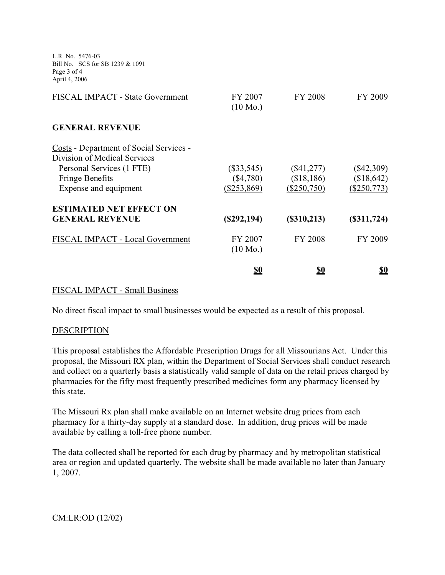L.R. No. 5476-03 Bill No. SCS for SB 1239 & 1091 Page 3 of 4 April 4, 2006

| <b>FISCAL IMPACT - State Government</b>        | FY 2007<br>$(10 \text{ Mo.})$ | <b>FY 2008</b> | FY 2009      |
|------------------------------------------------|-------------------------------|----------------|--------------|
| <b>GENERAL REVENUE</b>                         |                               |                |              |
| <b>Costs</b> - Department of Social Services - |                               |                |              |
| Division of Medical Services                   |                               |                |              |
| Personal Services (1 FTE)                      | $(\$33,545)$                  | $(\$41,277)$   | $(\$42,309)$ |
| <b>Fringe Benefits</b>                         | $(\$4,780)$                   | (\$18,186)     | (\$18,642)   |
| Expense and equipment                          | $($ \$253,869)                | (\$250,750)    | (\$250,773)  |
| <b>ESTIMATED NET EFFECT ON</b>                 |                               |                |              |
| <b>GENERAL REVENUE</b>                         | $($ \$292,194 $)$             | (S310,213)     | (S311, 724)  |
| FISCAL IMPACT - Local Government               | FY 2007<br>$(10 \text{ Mo.})$ | FY 2008        | FY 2009      |
|                                                |                               |                |              |
|                                                | <u>\$0</u>                    | <u>\$0</u>     | <u>\$0</u>   |

#### FISCAL IMPACT - Small Business

No direct fiscal impact to small businesses would be expected as a result of this proposal.

#### DESCRIPTION

This proposal establishes the Affordable Prescription Drugs for all Missourians Act. Under this proposal, the Missouri RX plan, within the Department of Social Services shall conduct research and collect on a quarterly basis a statistically valid sample of data on the retail prices charged by pharmacies for the fifty most frequently prescribed medicines form any pharmacy licensed by this state.

The Missouri Rx plan shall make available on an Internet website drug prices from each pharmacy for a thirty-day supply at a standard dose. In addition, drug prices will be made available by calling a toll-free phone number.

The data collected shall be reported for each drug by pharmacy and by metropolitan statistical area or region and updated quarterly. The website shall be made available no later than January 1, 2007.

CM:LR:OD (12/02)